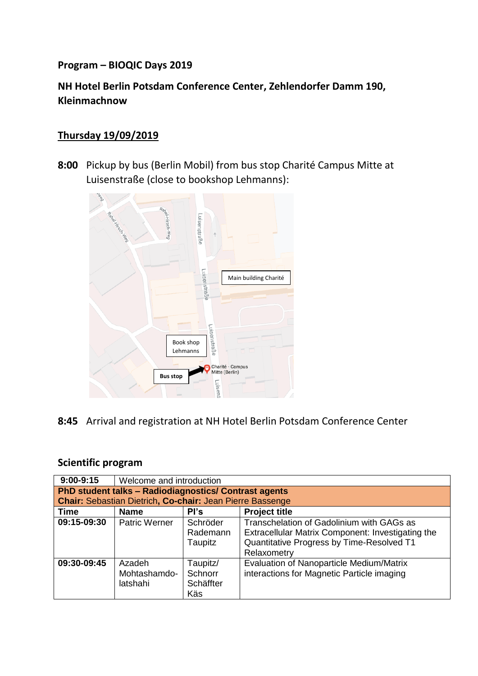### **Program – BIOQIC Days 2019**

# **NH Hotel Berlin Potsdam Conference Center, Zehlendorfer Damm 190, Kleinmachnow**

## **Thursday 19/09/2019**

**8:00** Pickup by bus (Berlin Mobil) from bus stop Charité Campus Mitte at Luisenstraße (close to bookshop Lehmanns):



**8:45** Arrival and registration at NH Hotel Berlin Potsdam Conference Center

### **Scientific program**

| $9:00-9:15$                                                                                                               | Welcome and introduction           |                                         |                                                                                                                                                            |  |  |  |
|---------------------------------------------------------------------------------------------------------------------------|------------------------------------|-----------------------------------------|------------------------------------------------------------------------------------------------------------------------------------------------------------|--|--|--|
| PhD student talks - Radiodiagnostics/ Contrast agents<br><b>Chair: Sebastian Dietrich, Co-chair: Jean Pierre Bassenge</b> |                                    |                                         |                                                                                                                                                            |  |  |  |
| <b>Project title</b><br><b>Time</b><br><b>Name</b><br>Pl's                                                                |                                    |                                         |                                                                                                                                                            |  |  |  |
| 09:15-09:30                                                                                                               | Patric Werner                      | Schröder<br>Rademann<br>Taupitz         | Transchelation of Gadolinium with GAGs as<br>Extracellular Matrix Component: Investigating the<br>Quantitative Progress by Time-Resolved T1<br>Relaxometry |  |  |  |
| 09:30-09:45                                                                                                               | Azadeh<br>Mohtashamdo-<br>latshahi | Taupitz/<br>Schnorr<br>Schäffter<br>Käs | Evaluation of Nanoparticle Medium/Matrix<br>interactions for Magnetic Particle imaging                                                                     |  |  |  |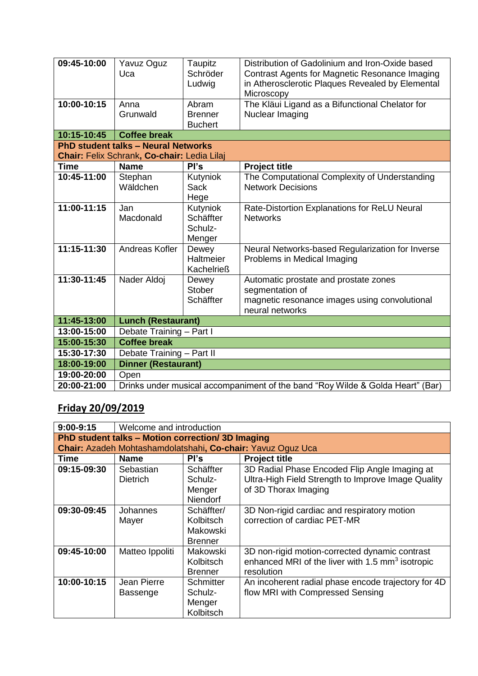| 09:45-10:00<br>10:00-10:15                                                                | Yavuz Oguz<br>Uca<br>Anna<br>Grunwald                                          | Taupitz<br>Schröder<br>Ludwig<br>Abram<br><b>Brenner</b><br><b>Buchert</b> | Distribution of Gadolinium and Iron-Oxide based<br>Contrast Agents for Magnetic Resonance Imaging<br>in Atherosclerotic Plaques Revealed by Elemental<br>Microscopy<br>The Kläui Ligand as a Bifunctional Chelator for<br>Nuclear Imaging |  |  |
|-------------------------------------------------------------------------------------------|--------------------------------------------------------------------------------|----------------------------------------------------------------------------|-------------------------------------------------------------------------------------------------------------------------------------------------------------------------------------------------------------------------------------------|--|--|
| 10:15-10:45                                                                               | <b>Coffee break</b>                                                            |                                                                            |                                                                                                                                                                                                                                           |  |  |
| <b>PhD student talks - Neural Networks</b><br>Chair: Felix Schrank, Co-chair: Ledia Lilaj |                                                                                |                                                                            |                                                                                                                                                                                                                                           |  |  |
| <b>Time</b>                                                                               | <b>Name</b>                                                                    | Pl's                                                                       | <b>Project title</b>                                                                                                                                                                                                                      |  |  |
| 10:45-11:00                                                                               | Stephan<br>Wäldchen                                                            | Kutyniok<br><b>Sack</b><br>Hege                                            | The Computational Complexity of Understanding<br><b>Network Decisions</b>                                                                                                                                                                 |  |  |
| 11:00-11:15                                                                               | Jan<br>Macdonald                                                               | Kutyniok<br>Schäffter<br>Schulz-<br>Menger                                 | Rate-Distortion Explanations for ReLU Neural<br><b>Networks</b>                                                                                                                                                                           |  |  |
| 11:15-11:30                                                                               | Andreas Kofler                                                                 | Dewey<br>Haltmeier<br><b>Kachelrieß</b>                                    | Neural Networks-based Regularization for Inverse<br>Problems in Medical Imaging                                                                                                                                                           |  |  |
| 11:30-11:45                                                                               | Nader Aldoj                                                                    | Dewey<br><b>Stober</b><br>Schäffter                                        | Automatic prostate and prostate zones<br>segmentation of<br>magnetic resonance images using convolutional<br>neural networks                                                                                                              |  |  |
| 11:45-13:00                                                                               |                                                                                | <b>Lunch (Restaurant)</b>                                                  |                                                                                                                                                                                                                                           |  |  |
| 13:00-15:00                                                                               | Debate Training - Part I                                                       |                                                                            |                                                                                                                                                                                                                                           |  |  |
| 15:00-15:30                                                                               | <b>Coffee break</b>                                                            |                                                                            |                                                                                                                                                                                                                                           |  |  |
| 15:30-17:30                                                                               | Debate Training - Part II                                                      |                                                                            |                                                                                                                                                                                                                                           |  |  |
| 18:00-19:00                                                                               | <b>Dinner (Restaurant)</b>                                                     |                                                                            |                                                                                                                                                                                                                                           |  |  |
| 19:00-20:00                                                                               | Open                                                                           |                                                                            |                                                                                                                                                                                                                                           |  |  |
| 20:00-21:00                                                                               | Drinks under musical accompaniment of the band "Roy Wilde & Golda Heart" (Bar) |                                                                            |                                                                                                                                                                                                                                           |  |  |

# **Friday 20/09/2019**

| $9:00-9:15$                                                 | Welcome and introduction     |                                                       |                                                                                                                              |  |  |  |
|-------------------------------------------------------------|------------------------------|-------------------------------------------------------|------------------------------------------------------------------------------------------------------------------------------|--|--|--|
| PhD student talks - Motion correction/3D Imaging            |                              |                                                       |                                                                                                                              |  |  |  |
| Chair: Azadeh Mohtashamdolatshahi, Co-chair: Yavuz Oguz Uca |                              |                                                       |                                                                                                                              |  |  |  |
| <b>Time</b>                                                 | <b>Name</b>                  | Pl's                                                  | <b>Project title</b>                                                                                                         |  |  |  |
| 09:15-09:30                                                 | Sebastian<br><b>Dietrich</b> | Schäffter<br>Schulz-<br>Menger<br><b>Niendorf</b>     | 3D Radial Phase Encoded Flip Angle Imaging at<br>Ultra-High Field Strength to Improve Image Quality<br>of 3D Thorax Imaging  |  |  |  |
| 09:30-09:45                                                 | Johannes<br>Mayer            | Schäffter/<br>Kolbitsch<br>Makowski<br><b>Brenner</b> | 3D Non-rigid cardiac and respiratory motion<br>correction of cardiac PET-MR                                                  |  |  |  |
| 09:45-10:00                                                 | Matteo Ippoliti              | Makowski<br>Kolbitsch<br><b>Brenner</b>               | 3D non-rigid motion-corrected dynamic contrast<br>enhanced MRI of the liver with 1.5 mm <sup>3</sup> isotropic<br>resolution |  |  |  |
| 10:00-10:15                                                 | Jean Pierre<br>Bassenge      | Schmitter<br>Schulz-<br>Menger<br>Kolbitsch           | An incoherent radial phase encode trajectory for 4D<br>flow MRI with Compressed Sensing                                      |  |  |  |